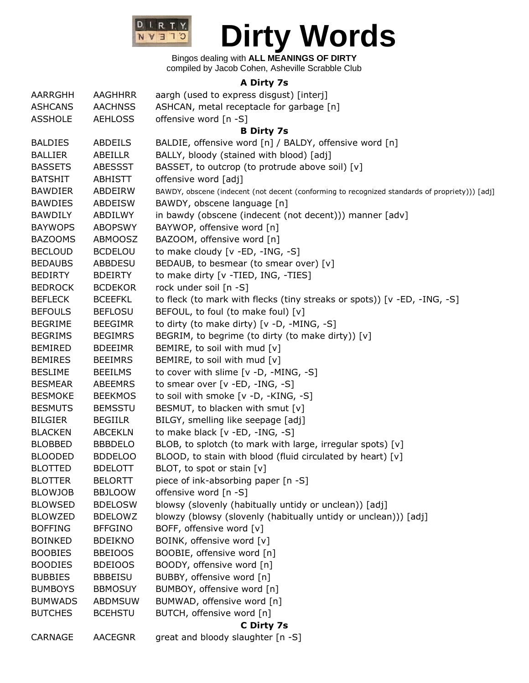

## Bingos dealing with **ALL MEANINGS OF DIRTY**

compiled by Jacob Cohen, Asheville Scrabble Club

## **A Dirty 7s**

| AARRGHH        | <b>AAGHHRR</b> | aargh (used to express disgust) [interj]                                                       |
|----------------|----------------|------------------------------------------------------------------------------------------------|
| <b>ASHCANS</b> | <b>AACHNSS</b> | ASHCAN, metal receptacle for garbage [n]                                                       |
| <b>ASSHOLE</b> | <b>AEHLOSS</b> | offensive word [n -S]                                                                          |
|                |                | <b>B Dirty 7s</b>                                                                              |
| <b>BALDIES</b> | <b>ABDEILS</b> | BALDIE, offensive word [n] / BALDY, offensive word [n]                                         |
| <b>BALLIER</b> | ABEILLR        | BALLY, bloody (stained with blood) [adj]                                                       |
| <b>BASSETS</b> | <b>ABESSST</b> | BASSET, to outcrop (to protrude above soil) [v]                                                |
| <b>BATSHIT</b> | <b>ABHISTT</b> | offensive word [adj]                                                                           |
| <b>BAWDIER</b> | ABDEIRW        | BAWDY, obscene (indecent (not decent (conforming to recognized standards of propriety))) [adj] |
| <b>BAWDIES</b> | <b>ABDEISW</b> | BAWDY, obscene language [n]                                                                    |
| <b>BAWDILY</b> | ABDILWY        | in bawdy (obscene (indecent (not decent))) manner [adv]                                        |
| <b>BAYWOPS</b> | <b>ABOPSWY</b> | BAYWOP, offensive word [n]                                                                     |
| <b>BAZOOMS</b> | ABMOOSZ        | BAZOOM, offensive word [n]                                                                     |
| <b>BECLOUD</b> | <b>BCDELOU</b> | to make cloudy [v -ED, -ING, -S]                                                               |
| <b>BEDAUBS</b> | <b>ABBDESU</b> | BEDAUB, to besmear (to smear over) [v]                                                         |
| <b>BEDIRTY</b> | <b>BDEIRTY</b> | to make dirty [v -TIED, ING, -TIES]                                                            |
| <b>BEDROCK</b> | <b>BCDEKOR</b> | rock under soil [n -S]                                                                         |
| <b>BEFLECK</b> | <b>BCEEFKL</b> | to fleck (to mark with flecks (tiny streaks or spots)) [v -ED, -ING, -S]                       |
| <b>BEFOULS</b> | <b>BEFLOSU</b> | BEFOUL, to foul (to make foul) [v]                                                             |
| <b>BEGRIME</b> | <b>BEEGIMR</b> | to dirty (to make dirty) [v -D, -MING, -S]                                                     |
| <b>BEGRIMS</b> | <b>BEGIMRS</b> | BEGRIM, to begrime (to dirty (to make dirty)) [v]                                              |
| <b>BEMIRED</b> | <b>BDEEIMR</b> | BEMIRE, to soil with mud [v]                                                                   |
| <b>BEMIRES</b> | <b>BEEIMRS</b> | BEMIRE, to soil with mud [v]                                                                   |
| <b>BESLIME</b> | <b>BEEILMS</b> | to cover with slime [v -D, -MING, -S]                                                          |
| <b>BESMEAR</b> | <b>ABEEMRS</b> | to smear over [v -ED, -ING, -S]                                                                |
| <b>BESMOKE</b> | <b>BEEKMOS</b> | to soil with smoke [v -D, -KING, -S]                                                           |
| <b>BESMUTS</b> | <b>BEMSSTU</b> | BESMUT, to blacken with smut [v]                                                               |
| <b>BILGIER</b> | <b>BEGIILR</b> | BILGY, smelling like seepage [adj]                                                             |
| <b>BLACKEN</b> | <b>ABCEKLN</b> | to make black [v -ED, -ING, -S]                                                                |
| <b>BLOBBED</b> | <b>BBBDELO</b> | BLOB, to splotch (to mark with large, irregular spots) [v]                                     |
| <b>BLOODED</b> | <b>BDDELOO</b> | BLOOD, to stain with blood (fluid circulated by heart) [v]                                     |
| <b>BLOTTED</b> | <b>BDELOTT</b> | BLOT, to spot or stain $[v]$                                                                   |
| <b>BLOTTER</b> | <b>BELORTT</b> | piece of ink-absorbing paper [n -S]                                                            |
| <b>BLOWJOB</b> | <b>BBJLOOW</b> | offensive word [n -S]                                                                          |
| <b>BLOWSED</b> | <b>BDELOSW</b> | blowsy (slovenly (habitually untidy or unclean)) [adj]                                         |
| <b>BLOWZED</b> | <b>BDELOWZ</b> | blowzy (blowsy (slovenly (habitually untidy or unclean))) [adj]                                |
| <b>BOFFING</b> | <b>BFFGINO</b> | BOFF, offensive word [v]                                                                       |
| <b>BOINKED</b> | <b>BDEIKNO</b> | BOINK, offensive word [v]                                                                      |
| <b>BOOBIES</b> | <b>BBEIOOS</b> | BOOBIE, offensive word [n]                                                                     |
| <b>BOODIES</b> | <b>BDEIOOS</b> | BOODY, offensive word [n]                                                                      |
| <b>BUBBIES</b> | <b>BBBEISU</b> | BUBBY, offensive word [n]                                                                      |
| <b>BUMBOYS</b> | <b>BBMOSUY</b> | BUMBOY, offensive word [n]                                                                     |
| <b>BUMWADS</b> | <b>ABDMSUW</b> | BUMWAD, offensive word [n]                                                                     |
| <b>BUTCHES</b> | <b>BCEHSTU</b> | BUTCH, offensive word [n]                                                                      |
| C Dirty 7s     |                |                                                                                                |
| CARNAGE        | <b>AACEGNR</b> | great and bloody slaughter [n -S]                                                              |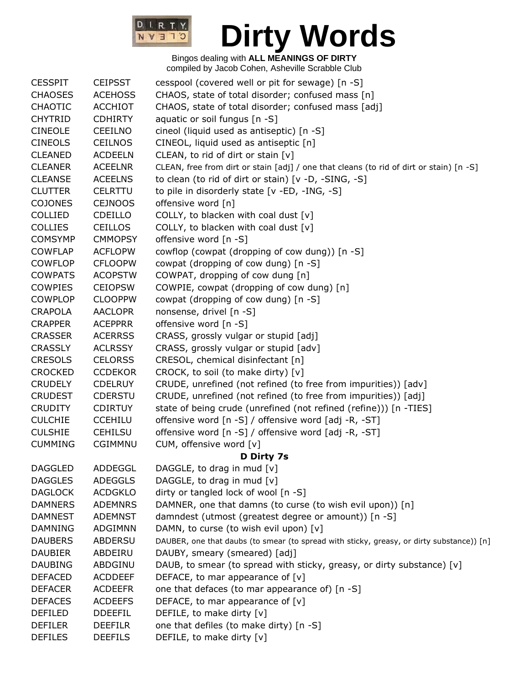

| <b>CESSPIT</b> | <b>CEIPSST</b> | cesspool (covered well or pit for sewage) [n -S]                                          |
|----------------|----------------|-------------------------------------------------------------------------------------------|
| <b>CHAOSES</b> | <b>ACEHOSS</b> | CHAOS, state of total disorder; confused mass [n]                                         |
| <b>CHAOTIC</b> | <b>ACCHIOT</b> | CHAOS, state of total disorder; confused mass [adj]                                       |
| <b>CHYTRID</b> | <b>CDHIRTY</b> | aquatic or soil fungus [n -S]                                                             |
| <b>CINEOLE</b> | <b>CEEILNO</b> | cineol (liquid used as antiseptic) [n -S]                                                 |
| <b>CINEOLS</b> | <b>CEILNOS</b> | CINEOL, liquid used as antiseptic [n]                                                     |
| <b>CLEANED</b> | <b>ACDEELN</b> | CLEAN, to rid of dirt or stain [v]                                                        |
| <b>CLEANER</b> | <b>ACEELNR</b> | CLEAN, free from dirt or stain [adj] / one that cleans (to rid of dirt or stain) [n -S]   |
| <b>CLEANSE</b> | <b>ACEELNS</b> | to clean (to rid of dirt or stain) [v -D, -SING, -S]                                      |
| <b>CLUTTER</b> | <b>CELRTTU</b> | to pile in disorderly state [v -ED, -ING, -S]                                             |
| <b>COJONES</b> | <b>CEJNOOS</b> | offensive word [n]                                                                        |
| <b>COLLIED</b> | <b>CDEILLO</b> | COLLY, to blacken with coal dust $[v]$                                                    |
| <b>COLLIES</b> | <b>CEILLOS</b> | COLLY, to blacken with coal dust $[v]$                                                    |
| <b>COMSYMP</b> | <b>CMMOPSY</b> | offensive word [n -S]                                                                     |
| <b>COWFLAP</b> | <b>ACFLOPW</b> | cowflop (cowpat (dropping of cow dung)) [n -S]                                            |
| <b>COWFLOP</b> | <b>CFLOOPW</b> | cowpat (dropping of cow dung) [n -S]                                                      |
| <b>COWPATS</b> | <b>ACOPSTW</b> | COWPAT, dropping of cow dung [n]                                                          |
| <b>COWPIES</b> | <b>CEIOPSW</b> | COWPIE, cowpat (dropping of cow dung) [n]                                                 |
| <b>COWPLOP</b> | <b>CLOOPPW</b> | cowpat (dropping of cow dung) [n -S]                                                      |
| <b>CRAPOLA</b> | <b>AACLOPR</b> | nonsense, drivel [n -S]                                                                   |
| <b>CRAPPER</b> | <b>ACEPPRR</b> | offensive word [n -S]                                                                     |
| <b>CRASSER</b> | <b>ACERRSS</b> | CRASS, grossly vulgar or stupid [adj]                                                     |
| <b>CRASSLY</b> | <b>ACLRSSY</b> | CRASS, grossly vulgar or stupid [adv]                                                     |
| <b>CRESOLS</b> | <b>CELORSS</b> | CRESOL, chemical disinfectant [n]                                                         |
| <b>CROCKED</b> | <b>CCDEKOR</b> | CROCK, to soil (to make dirty) [v]                                                        |
| <b>CRUDELY</b> | <b>CDELRUY</b> | CRUDE, unrefined (not refined (to free from impurities)) [adv]                            |
| <b>CRUDEST</b> | <b>CDERSTU</b> | CRUDE, unrefined (not refined (to free from impurities)) [adj]                            |
| <b>CRUDITY</b> | <b>CDIRTUY</b> | state of being crude (unrefined (not refined (refine))) [n -TIES]                         |
| <b>CULCHIE</b> | <b>CCEHILU</b> | offensive word [n -S] / offensive word [adj -R, -ST]                                      |
| <b>CULSHIE</b> | <b>CEHILSU</b> | offensive word [n -S] / offensive word [adj -R, -ST]                                      |
| <b>CUMMING</b> | <b>CGIMMNU</b> | CUM, offensive word [v]                                                                   |
|                |                | D Dirty 7s                                                                                |
| <b>DAGGLED</b> | <b>ADDEGGL</b> | DAGGLE, to drag in mud [v]                                                                |
| <b>DAGGLES</b> | <b>ADEGGLS</b> | DAGGLE, to drag in mud [v]                                                                |
| <b>DAGLOCK</b> | <b>ACDGKLO</b> | dirty or tangled lock of wool [n -S]                                                      |
| <b>DAMNERS</b> | <b>ADEMNRS</b> | DAMNER, one that damns (to curse (to wish evil upon)) [n]                                 |
| <b>DAMNEST</b> | <b>ADEMNST</b> | damndest (utmost (greatest degree or amount)) [n -S]                                      |
| <b>DAMNING</b> | <b>ADGIMNN</b> | DAMN, to curse (to wish evil upon) [v]                                                    |
| <b>DAUBERS</b> | <b>ABDERSU</b> | DAUBER, one that daubs (to smear (to spread with sticky, greasy, or dirty substance)) [n] |
| <b>DAUBIER</b> | ABDEIRU        | DAUBY, smeary (smeared) [adj]                                                             |
| <b>DAUBING</b> | ABDGINU        | DAUB, to smear (to spread with sticky, greasy, or dirty substance) [v]                    |
| <b>DEFACED</b> | <b>ACDDEEF</b> | DEFACE, to mar appearance of $[v]$                                                        |
| <b>DEFACER</b> | <b>ACDEEFR</b> | one that defaces (to mar appearance of) [n -S]                                            |
| <b>DEFACES</b> | <b>ACDEEFS</b> | DEFACE, to mar appearance of [v]                                                          |
| <b>DEFILED</b> | <b>DDEEFIL</b> | DEFILE, to make dirty [v]                                                                 |
| <b>DEFILER</b> | <b>DEEFILR</b> | one that defiles (to make dirty) [n -S]                                                   |
| <b>DEFILES</b> | <b>DEEFILS</b> | DEFILE, to make dirty [v]                                                                 |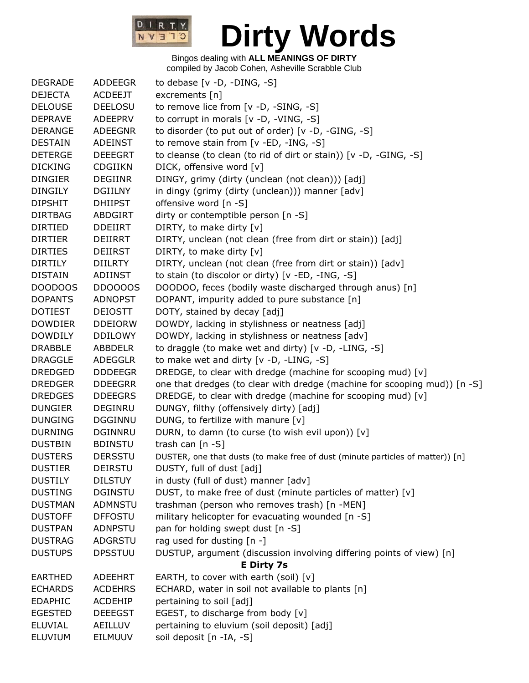

| <b>DEGRADE</b> | ADDEEGR        | to debase $[v -D, -DING, -S]$                                                  |
|----------------|----------------|--------------------------------------------------------------------------------|
| <b>DEJECTA</b> | <b>ACDEEJT</b> | excrements $[n]$                                                               |
| <b>DELOUSE</b> | <b>DEELOSU</b> | to remove lice from [v -D, -SING, -S]                                          |
| <b>DEPRAVE</b> | ADEEPRV        | to corrupt in morals $[v -D, -VING, -S]$                                       |
| <b>DERANGE</b> | <b>ADEEGNR</b> | to disorder (to put out of order) [v -D, -GING, -S]                            |
| <b>DESTAIN</b> | <b>ADEINST</b> | to remove stain from [v -ED, -ING, -S]                                         |
| <b>DETERGE</b> | <b>DEEEGRT</b> | to cleanse (to clean (to rid of dirt or stain)) [v -D, -GING, -S]              |
| <b>DICKING</b> | <b>CDGIIKN</b> | DICK, offensive word [v]                                                       |
| <b>DINGIER</b> | <b>DEGIINR</b> | DINGY, grimy (dirty (unclean (not clean))) [adj]                               |
| <b>DINGILY</b> | <b>DGIILNY</b> | in dingy (grimy (dirty (unclean))) manner [adv]                                |
| <b>DIPSHIT</b> | <b>DHIIPST</b> | offensive word [n -S]                                                          |
| <b>DIRTBAG</b> | <b>ABDGIRT</b> | dirty or contemptible person [n -S]                                            |
| <b>DIRTIED</b> | <b>DDEIIRT</b> | DIRTY, to make dirty [v]                                                       |
| <b>DIRTIER</b> | DEIIRRT        | DIRTY, unclean (not clean (free from dirt or stain)) [adj]                     |
| <b>DIRTIES</b> | <b>DEIIRST</b> | DIRTY, to make dirty [v]                                                       |
| <b>DIRTILY</b> | <b>DIILRTY</b> | DIRTY, unclean (not clean (free from dirt or stain)) [adv]                     |
| <b>DISTAIN</b> | <b>ADIINST</b> | to stain (to discolor or dirty) [v -ED, -ING, -S]                              |
| DOODOOS        | <b>DD0000S</b> | DOODOO, feces (bodily waste discharged through anus) [n]                       |
| <b>DOPANTS</b> | <b>ADNOPST</b> | DOPANT, impurity added to pure substance [n]                                   |
| <b>DOTIEST</b> | <b>DEIOSTT</b> | DOTY, stained by decay [adj]                                                   |
| <b>DOWDIER</b> | <b>DDEIORW</b> | DOWDY, lacking in stylishness or neatness [adj]                                |
| <b>DOWDILY</b> | <b>DDILOWY</b> | DOWDY, lacking in stylishness or neatness [adv]                                |
| <b>DRABBLE</b> | ABBDELR        | to draggle (to make wet and dirty) [v -D, -LING, -S]                           |
| <b>DRAGGLE</b> | <b>ADEGGLR</b> | to make wet and dirty [v -D, -LING, -S]                                        |
| <b>DREDGED</b> | <b>DDDEEGR</b> | DREDGE, to clear with dredge (machine for scooping mud) [v]                    |
| <b>DREDGER</b> | <b>DDEEGRR</b> | one that dredges (to clear with dredge (machine for scooping mud)) [n -S]      |
| <b>DREDGES</b> | <b>DDEEGRS</b> | DREDGE, to clear with dredge (machine for scooping mud) [v]                    |
| <b>DUNGIER</b> | DEGINRU        | DUNGY, filthy (offensively dirty) [adj]                                        |
| <b>DUNGING</b> | <b>DGGINNU</b> | DUNG, to fertilize with manure [v]                                             |
| <b>DURNING</b> | <b>DGINNRU</b> | DURN, to damn (to curse (to wish evil upon)) [v]                               |
| <b>DUSTBIN</b> | <b>BDINSTU</b> | trash can $[n - S]$                                                            |
| <b>DUSTERS</b> | <b>DERSSTU</b> | DUSTER, one that dusts (to make free of dust (minute particles of matter)) [n] |
| <b>DUSTIER</b> | <b>DEIRSTU</b> | DUSTY, full of dust [adj]                                                      |
| <b>DUSTILY</b> | <b>DILSTUY</b> | in dusty (full of dust) manner [adv]                                           |
| <b>DUSTING</b> | <b>DGINSTU</b> | DUST, to make free of dust (minute particles of matter) [v]                    |
| <b>DUSTMAN</b> | ADMNSTU        | trashman (person who removes trash) [n -MEN]                                   |
| <b>DUSTOFF</b> | <b>DFFOSTU</b> | military helicopter for evacuating wounded [n -S]                              |
| <b>DUSTPAN</b> | <b>ADNPSTU</b> | pan for holding swept dust [n -S]                                              |
| <b>DUSTRAG</b> | ADGRSTU        | rag used for dusting [n -]                                                     |
| <b>DUSTUPS</b> | <b>DPSSTUU</b> | DUSTUP, argument (discussion involving differing points of view) [n]           |
|                |                | <b>E Dirty 7s</b>                                                              |
| <b>EARTHED</b> | <b>ADEEHRT</b> | EARTH, to cover with earth (soil) $[v]$                                        |
| <b>ECHARDS</b> | <b>ACDEHRS</b> | ECHARD, water in soil not available to plants [n]                              |
| <b>EDAPHIC</b> | <b>ACDEHIP</b> | pertaining to soil [adj]                                                       |
| <b>EGESTED</b> | <b>DEEEGST</b> | EGEST, to discharge from body [v]                                              |
| <b>ELUVIAL</b> | AEILLUV        | pertaining to eluvium (soil deposit) [adj]                                     |
| <b>ELUVIUM</b> | EILMUUV        | soil deposit [n -IA, -S]                                                       |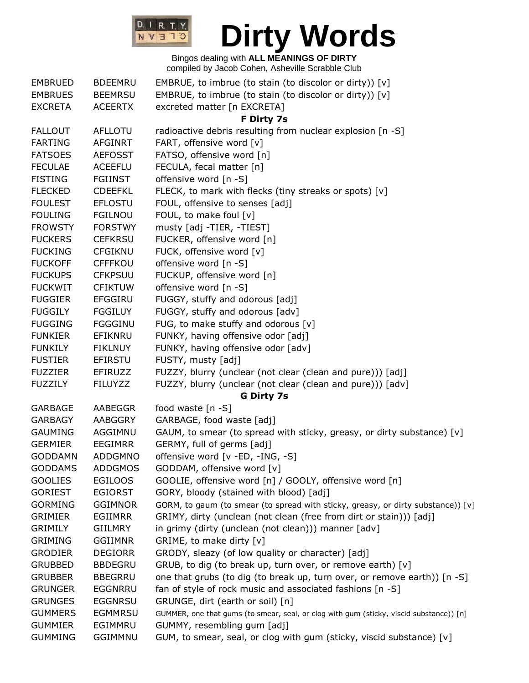

| <b>EMBRUED</b> | <b>BDEEMRU</b> | EMBRUE, to imbrue (to stain (to discolor or dirty)) $[v]$                               |
|----------------|----------------|-----------------------------------------------------------------------------------------|
| <b>EMBRUES</b> | <b>BEEMRSU</b> | EMBRUE, to imbrue (to stain (to discolor or dirty)) [v]                                 |
| <b>EXCRETA</b> | <b>ACEERTX</b> | excreted matter [n EXCRETA]                                                             |
|                |                | F Dirty 7s                                                                              |
| <b>FALLOUT</b> | <b>AFLLOTU</b> | radioactive debris resulting from nuclear explosion [n -S]                              |
| <b>FARTING</b> | <b>AFGINRT</b> | FART, offensive word [v]                                                                |
| <b>FATSOES</b> | <b>AEFOSST</b> | FATSO, offensive word [n]                                                               |
| <b>FECULAE</b> | <b>ACEEFLU</b> | FECULA, fecal matter [n]                                                                |
| <b>FISTING</b> | <b>FGIINST</b> | offensive word [n -S]                                                                   |
| <b>FLECKED</b> | <b>CDEEFKL</b> | FLECK, to mark with flecks (tiny streaks or spots) [v]                                  |
| <b>FOULEST</b> | <b>EFLOSTU</b> | FOUL, offensive to senses [adj]                                                         |
| <b>FOULING</b> | <b>FGILNOU</b> | FOUL, to make foul [v]                                                                  |
| <b>FROWSTY</b> | <b>FORSTWY</b> | musty [adj -TIER, -TIEST]                                                               |
| <b>FUCKERS</b> | <b>CEFKRSU</b> | FUCKER, offensive word [n]                                                              |
| <b>FUCKING</b> | <b>CFGIKNU</b> | FUCK, offensive word [v]                                                                |
| <b>FUCKOFF</b> | <b>CFFFKOU</b> | offensive word [n -S]                                                                   |
| <b>FUCKUPS</b> |                |                                                                                         |
|                | <b>CFKPSUU</b> | FUCKUP, offensive word [n]                                                              |
| <b>FUCKWIT</b> | <b>CFIKTUW</b> | offensive word [n -S]                                                                   |
| <b>FUGGIER</b> | <b>EFGGIRU</b> | FUGGY, stuffy and odorous [adj]                                                         |
| <b>FUGGILY</b> | <b>FGGILUY</b> | FUGGY, stuffy and odorous [adv]                                                         |
| <b>FUGGING</b> | <b>FGGGINU</b> | FUG, to make stuffy and odorous [v]                                                     |
| <b>FUNKIER</b> | EFIKNRU        | FUNKY, having offensive odor [adj]                                                      |
| <b>FUNKILY</b> | <b>FIKLNUY</b> | FUNKY, having offensive odor [adv]                                                      |
| <b>FUSTIER</b> | <b>EFIRSTU</b> | FUSTY, musty [adj]                                                                      |
| <b>FUZZIER</b> | EFIRUZZ        | FUZZY, blurry (unclear (not clear (clean and pure))) [adj]                              |
| <b>FUZZILY</b> | <b>FILUYZZ</b> | FUZZY, blurry (unclear (not clear (clean and pure))) [adv]                              |
|                |                | <b>G Dirty 7s</b>                                                                       |
| <b>GARBAGE</b> | AABEGGR        | food waste [n -S]                                                                       |
| <b>GARBAGY</b> | AABGGRY        | GARBAGE, food waste [adj]                                                               |
| <b>GAUMING</b> | AGGIMNU        | GAUM, to smear (to spread with sticky, greasy, or dirty substance) [v]                  |
| <b>GERMIER</b> | <b>EEGIMRR</b> | GERMY, full of germs [adj]                                                              |
| <b>GODDAMN</b> | <b>ADDGMNO</b> | offensive word [v -ED, -ING, -S]                                                        |
| <b>GODDAMS</b> | <b>ADDGMOS</b> | GODDAM, offensive word [v]                                                              |
| <b>GOOLIES</b> | <b>EGILOOS</b> | GOOLIE, offensive word [n] / GOOLY, offensive word [n]                                  |
| <b>GORIEST</b> | <b>EGIORST</b> | GORY, bloody (stained with blood) [adj]                                                 |
| <b>GORMING</b> | <b>GGIMNOR</b> | GORM, to gaum (to smear (to spread with sticky, greasy, or dirty substance)) [v]        |
| <b>GRIMIER</b> | <b>EGIIMRR</b> | GRIMY, dirty (unclean (not clean (free from dirt or stain))) [adj]                      |
| <b>GRIMILY</b> | <b>GIILMRY</b> | in grimy (dirty (unclean (not clean))) manner [adv]                                     |
| <b>GRIMING</b> | <b>GGIIMNR</b> | GRIME, to make dirty [v]                                                                |
| <b>GRODIER</b> | <b>DEGIORR</b> | GRODY, sleazy (of low quality or character) [adj]                                       |
| <b>GRUBBED</b> | <b>BBDEGRU</b> | GRUB, to dig (to break up, turn over, or remove earth) [v]                              |
| <b>GRUBBER</b> | <b>BBEGRRU</b> | one that grubs (to dig (to break up, turn over, or remove earth)) [n -S]                |
| <b>GRUNGER</b> | <b>EGGNRRU</b> | fan of style of rock music and associated fashions [n -S]                               |
| <b>GRUNGES</b> | <b>EGGNRSU</b> | GRUNGE, dirt (earth or soil) [n]                                                        |
| <b>GUMMERS</b> | <b>EGMMRSU</b> | GUMMER, one that gums (to smear, seal, or clog with gum (sticky, viscid substance)) [n] |
| <b>GUMMIER</b> | EGIMMRU        | GUMMY, resembling gum [adj]                                                             |
| <b>GUMMING</b> | <b>GGIMMNU</b> | GUM, to smear, seal, or clog with gum (sticky, viscid substance) [v]                    |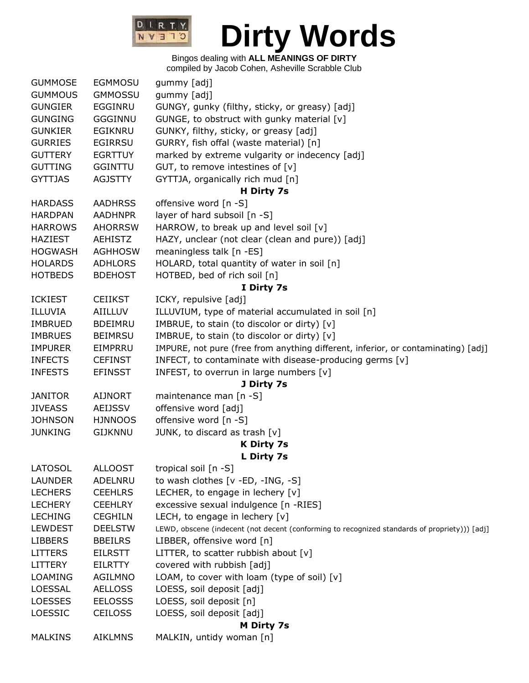

| <b>GUMMOSE</b> | <b>EGMMOSU</b> | gummy [adj]                                                                                   |
|----------------|----------------|-----------------------------------------------------------------------------------------------|
| <b>GUMMOUS</b> | <b>GMMOSSU</b> | gummy [adj]                                                                                   |
| <b>GUNGIER</b> | EGGINRU        | GUNGY, gunky (filthy, sticky, or greasy) [adj]                                                |
| <b>GUNGING</b> | <b>GGGINNU</b> | GUNGE, to obstruct with gunky material [v]                                                    |
| <b>GUNKIER</b> | EGIKNRU        | GUNKY, filthy, sticky, or greasy [adj]                                                        |
| <b>GURRIES</b> | <b>EGIRRSU</b> | GURRY, fish offal (waste material) [n]                                                        |
| <b>GUTTERY</b> | <b>EGRTTUY</b> | marked by extreme vulgarity or indecency [adj]                                                |
| <b>GUTTING</b> | <b>GGINTTU</b> | GUT, to remove intestines of $[v]$                                                            |
| <b>GYTTJAS</b> | <b>AGJSTTY</b> | GYTTJA, organically rich mud [n]                                                              |
|                |                | H Dirty 7s                                                                                    |
| <b>HARDASS</b> | <b>AADHRSS</b> | offensive word [n -S]                                                                         |
| <b>HARDPAN</b> | <b>AADHNPR</b> | layer of hard subsoil [n -S]                                                                  |
| <b>HARROWS</b> | <b>AHORRSW</b> | HARROW, to break up and level soil [v]                                                        |
| <b>HAZIEST</b> | <b>AEHISTZ</b> | HAZY, unclear (not clear (clean and pure)) [adj]                                              |
| <b>HOGWASH</b> | <b>AGHHOSW</b> | meaningless talk [n -ES]                                                                      |
| <b>HOLARDS</b> | <b>ADHLORS</b> | HOLARD, total quantity of water in soil [n]                                                   |
| <b>HOTBEDS</b> | <b>BDEHOST</b> | HOTBED, bed of rich soil [n]                                                                  |
|                |                | I Dirty 7s                                                                                    |
| <b>ICKIEST</b> | <b>CEIIKST</b> | ICKY, repulsive [adj]                                                                         |
| ILLUVIA        | AIILLUV        | ILLUVIUM, type of material accumulated in soil [n]                                            |
| <b>IMBRUED</b> | <b>BDEIMRU</b> | IMBRUE, to stain (to discolor or dirty) [v]                                                   |
| <b>IMBRUES</b> | <b>BEIMRSU</b> | IMBRUE, to stain (to discolor or dirty) [v]                                                   |
| <b>IMPURER</b> | EIMPRRU        | IMPURE, not pure (free from anything different, inferior, or contaminating) [adj]             |
| <b>INFECTS</b> | <b>CEFINST</b> | INFECT, to contaminate with disease-producing germs [v]                                       |
| <b>INFESTS</b> | <b>EFINSST</b> | INFEST, to overrun in large numbers $[v]$                                                     |
|                |                | J Dirty 7s                                                                                    |
| <b>JANITOR</b> | <b>AIJNORT</b> | maintenance man [n -S]                                                                        |
| <b>JIVEASS</b> | <b>AEIJSSV</b> | offensive word [adj]                                                                          |
| <b>JOHNSON</b> | <b>HJNNOOS</b> | offensive word [n -S]                                                                         |
| <b>JUNKING</b> | <b>GIJKNNU</b> | JUNK, to discard as trash [v]                                                                 |
|                |                | <b>K Dirty 7s</b>                                                                             |
|                |                | L Dirty 7s                                                                                    |
| <b>LATOSOL</b> | <b>ALLOOST</b> | tropical soil [n -S]                                                                          |
| <b>LAUNDER</b> | ADELNRU        | to wash clothes [v -ED, -ING, -S]                                                             |
| <b>LECHERS</b> | <b>CEEHLRS</b> | LECHER, to engage in lechery [v]                                                              |
| <b>LECHERY</b> | <b>CEEHLRY</b> | excessive sexual indulgence [n -RIES]                                                         |
| <b>LECHING</b> | <b>CEGHILN</b> | LECH, to engage in lechery $[v]$                                                              |
| <b>LEWDEST</b> | <b>DEELSTW</b> | LEWD, obscene (indecent (not decent (conforming to recognized standards of propriety))) [adj] |
| <b>LIBBERS</b> | <b>BBEILRS</b> | LIBBER, offensive word [n]                                                                    |
| <b>LITTERS</b> | <b>EILRSTT</b> | LITTER, to scatter rubbish about $[v]$                                                        |
| <b>LITTERY</b> | <b>EILRTTY</b> | covered with rubbish [adj]                                                                    |
| LOAMING        | <b>AGILMNO</b> | LOAM, to cover with loam (type of soil) [v]                                                   |
| LOESSAL        | <b>AELLOSS</b> | LOESS, soil deposit [adj]                                                                     |
| <b>LOESSES</b> | <b>EELOSSS</b> | LOESS, soil deposit [n]                                                                       |
| LOESSIC        | <b>CEILOSS</b> | LOESS, soil deposit [adj]                                                                     |
|                |                | <b>M Dirty 7s</b>                                                                             |
| <b>MALKINS</b> | <b>AIKLMNS</b> | MALKIN, untidy woman [n]                                                                      |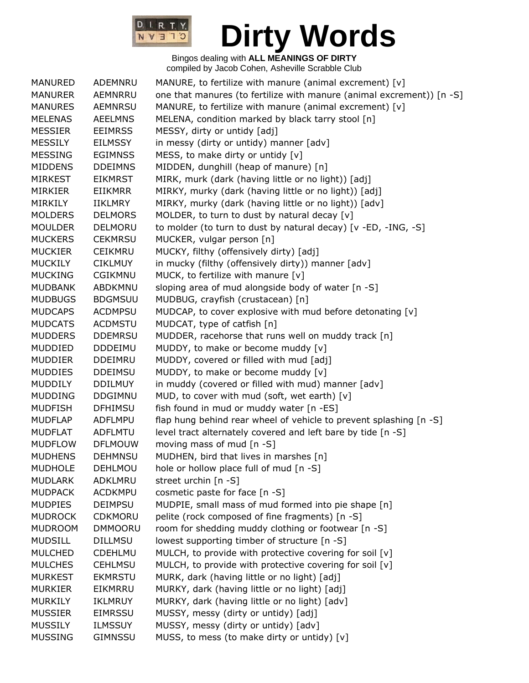

| <b>MANURED</b> | ADEMNRU        | MANURE, to fertilize with manure (animal excrement) [v]               |
|----------------|----------------|-----------------------------------------------------------------------|
| <b>MANURER</b> | AEMNRRU        | one that manures (to fertilize with manure (animal excrement)) [n -S] |
| <b>MANURES</b> | <b>AEMNRSU</b> | MANURE, to fertilize with manure (animal excrement) [v]               |
| <b>MELENAS</b> | <b>AEELMNS</b> | MELENA, condition marked by black tarry stool [n]                     |
| <b>MESSIER</b> | <b>EEIMRSS</b> | MESSY, dirty or untidy [adj]                                          |
| <b>MESSILY</b> | <b>EILMSSY</b> | in messy (dirty or untidy) manner [adv]                               |
| <b>MESSING</b> | <b>EGIMNSS</b> | MESS, to make dirty or untidy $[v]$                                   |
| <b>MIDDENS</b> | <b>DDEIMNS</b> | MIDDEN, dunghill (heap of manure) [n]                                 |
| <b>MIRKEST</b> | <b>EIKMRST</b> | MIRK, murk (dark (having little or no light)) [adj]                   |
| <b>MIRKIER</b> | <b>EIIKMRR</b> | MIRKY, murky (dark (having little or no light)) [adj]                 |
| MIRKILY        | <b>IIKLMRY</b> | MIRKY, murky (dark (having little or no light)) [adv]                 |
| <b>MOLDERS</b> | <b>DELMORS</b> | MOLDER, to turn to dust by natural decay [v]                          |
| <b>MOULDER</b> | DELMORU        | to molder (to turn to dust by natural decay) [v -ED, -ING, -S]        |
| <b>MUCKERS</b> | <b>CEKMRSU</b> | MUCKER, vulgar person [n]                                             |
| <b>MUCKIER</b> | <b>CEIKMRU</b> | MUCKY, filthy (offensively dirty) [adj]                               |
| <b>MUCKILY</b> | <b>CIKLMUY</b> | in mucky (filthy (offensively dirty)) manner [adv]                    |
| <b>MUCKING</b> | <b>CGIKMNU</b> | MUCK, to fertilize with manure [v]                                    |
| <b>MUDBANK</b> | ABDKMNU        | sloping area of mud alongside body of water [n -S]                    |
| <b>MUDBUGS</b> | <b>BDGMSUU</b> | MUDBUG, crayfish (crustacean) [n]                                     |
| <b>MUDCAPS</b> | <b>ACDMPSU</b> | MUDCAP, to cover explosive with mud before detonating [v]             |
| <b>MUDCATS</b> | <b>ACDMSTU</b> | MUDCAT, type of catfish [n]                                           |
| <b>MUDDERS</b> | <b>DDEMRSU</b> | MUDDER, racehorse that runs well on muddy track [n]                   |
| MUDDIED        | <b>DDDEIMU</b> | MUDDY, to make or become muddy [v]                                    |
| <b>MUDDIER</b> | <b>DDEIMRU</b> | MUDDY, covered or filled with mud [adj]                               |
| <b>MUDDIES</b> | <b>DDEIMSU</b> | MUDDY, to make or become muddy [v]                                    |
| <b>MUDDILY</b> | <b>DDILMUY</b> | in muddy (covered or filled with mud) manner [adv]                    |
| <b>MUDDING</b> | <b>DDGIMNU</b> | MUD, to cover with mud (soft, wet earth) [v]                          |
| <b>MUDFISH</b> | <b>DFHIMSU</b> | fish found in mud or muddy water [n -ES]                              |
| <b>MUDFLAP</b> | ADFLMPU        | flap hung behind rear wheel of vehicle to prevent splashing [n -S]    |
| <b>MUDFLAT</b> | ADFLMTU        | level tract alternately covered and left bare by tide [n -S]          |
| <b>MUDFLOW</b> | <b>DFLMOUW</b> | moving mass of mud [n -S]                                             |
| <b>MUDHENS</b> | <b>DEHMNSU</b> | MUDHEN, bird that lives in marshes [n]                                |
| <b>MUDHOLE</b> | <b>DEHLMOU</b> | hole or hollow place full of mud [n -S]                               |
| <b>MUDLARK</b> | ADKLMRU        | street urchin [n -S]                                                  |
| <b>MUDPACK</b> | <b>ACDKMPU</b> | cosmetic paste for face [n -S]                                        |
| <b>MUDPIES</b> | <b>DEIMPSU</b> | MUDPIE, small mass of mud formed into pie shape [n]                   |
| <b>MUDROCK</b> | <b>CDKMORU</b> | pelite (rock composed of fine fragments) [n -S]                       |
| <b>MUDROOM</b> | <b>DMMOORU</b> | room for shedding muddy clothing or footwear [n -S]                   |
| <b>MUDSILL</b> | <b>DILLMSU</b> | lowest supporting timber of structure [n -S]                          |
| <b>MULCHED</b> | <b>CDEHLMU</b> | MULCH, to provide with protective covering for soil [v]               |
| <b>MULCHES</b> | <b>CEHLMSU</b> | MULCH, to provide with protective covering for soil [v]               |
| <b>MURKEST</b> | <b>EKMRSTU</b> | MURK, dark (having little or no light) [adj]                          |
| <b>MURKIER</b> | EIKMRRU        | MURKY, dark (having little or no light) [adj]                         |
| <b>MURKILY</b> | <b>IKLMRUY</b> | MURKY, dark (having little or no light) [adv]                         |
| <b>MUSSIER</b> | <b>EIMRSSU</b> | MUSSY, messy (dirty or untidy) [adj]                                  |
| <b>MUSSILY</b> | <b>ILMSSUY</b> | MUSSY, messy (dirty or untidy) [adv]                                  |
| <b>MUSSING</b> | <b>GIMNSSU</b> | MUSS, to mess (to make dirty or untidy) [v]                           |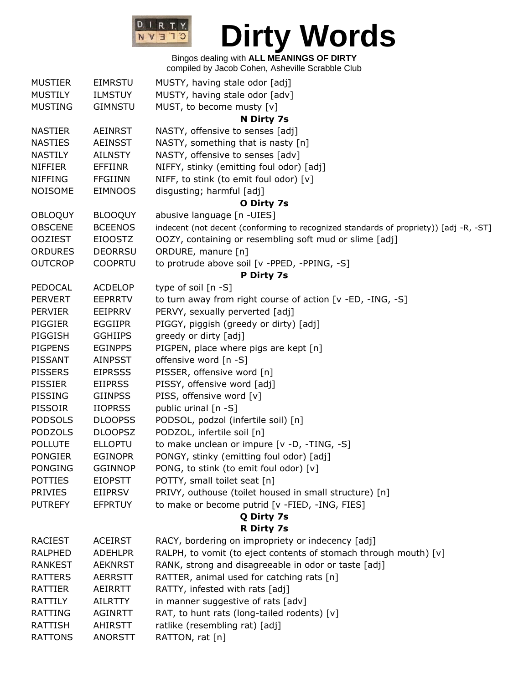

## Bingos dealing with **ALL MEANINGS OF DIRTY**

compiled by Jacob Cohen, Asheville Scrabble Club

| <b>MUSTIER</b> | <b>EIMRSTU</b> | MUSTY, having stale odor [adj]                                                        |
|----------------|----------------|---------------------------------------------------------------------------------------|
| <b>MUSTILY</b> | <b>ILMSTUY</b> | MUSTY, having stale odor [adv]                                                        |
| <b>MUSTING</b> | <b>GIMNSTU</b> | MUST, to become musty [v]                                                             |
|                |                | N Dirty 7s                                                                            |
| <b>NASTIER</b> | <b>AEINRST</b> | NASTY, offensive to senses [adj]                                                      |
| <b>NASTIES</b> | <b>AEINSST</b> | NASTY, something that is nasty [n]                                                    |
| <b>NASTILY</b> | <b>AILNSTY</b> | NASTY, offensive to senses [adv]                                                      |
| <b>NIFFIER</b> | EFFIINR        | NIFFY, stinky (emitting foul odor) [adj]                                              |
| <b>NIFFING</b> | <b>FFGIINN</b> | NIFF, to stink (to emit foul odor) [v]                                                |
| <b>NOISOME</b> | <b>EIMNOOS</b> | disgusting; harmful [adj]                                                             |
|                |                | O Dirty 7s                                                                            |
| <b>OBLOQUY</b> | <b>BLOOQUY</b> | abusive language [n -UIES]                                                            |
| <b>OBSCENE</b> | <b>BCEENOS</b> | indecent (not decent (conforming to recognized standards of propriety)) [adj -R, -ST] |
| <b>OOZIEST</b> | <b>EIOOSTZ</b> | OOZY, containing or resembling soft mud or slime [adj]                                |
| <b>ORDURES</b> | <b>DEORRSU</b> | ORDURE, manure [n]                                                                    |
| <b>OUTCROP</b> | <b>COOPRTU</b> | to protrude above soil [v -PPED, -PPING, -S]                                          |
|                |                | P Dirty 7s                                                                            |
| PEDOCAL        | <b>ACDELOP</b> | type of soil $[n -S]$                                                                 |
| <b>PERVERT</b> | <b>EEPRRTV</b> | to turn away from right course of action [v -ED, -ING, -S]                            |
| <b>PERVIER</b> | EEIPRRV        | PERVY, sexually perverted [adj]                                                       |
| <b>PIGGIER</b> | <b>EGGIIPR</b> | PIGGY, piggish (greedy or dirty) [adj]                                                |
| PIGGISH        | <b>GGHIIPS</b> | greedy or dirty [adj]                                                                 |
| <b>PIGPENS</b> | <b>EGINPPS</b> | PIGPEN, place where pigs are kept [n]                                                 |
| <b>PISSANT</b> | <b>AINPSST</b> | offensive word [n -S]                                                                 |
| <b>PISSERS</b> | <b>EIPRSSS</b> | PISSER, offensive word [n]                                                            |
| <b>PISSIER</b> | <b>EIIPRSS</b> | PISSY, offensive word [adj]                                                           |
| <b>PISSING</b> | <b>GIINPSS</b> | PISS, offensive word [v]                                                              |
| <b>PISSOIR</b> | <b>IIOPRSS</b> | public urinal [n -S]                                                                  |
| <b>PODSOLS</b> | <b>DLOOPSS</b> | PODSOL, podzol (infertile soil) [n]                                                   |
| <b>PODZOLS</b> | <b>DLOOPSZ</b> | PODZOL, infertile soil [n]                                                            |
| <b>POLLUTE</b> | <b>ELLOPTU</b> | to make unclean or impure [v -D, -TING, -S]                                           |
| <b>PONGIER</b> | <b>EGINOPR</b> | PONGY, stinky (emitting foul odor) [adj]                                              |
| <b>PONGING</b> | <b>GGINNOP</b> | PONG, to stink (to emit foul odor) [v]                                                |
| <b>POTTIES</b> | <b>EIOPSTT</b> | POTTY, small toilet seat [n]                                                          |
| <b>PRIVIES</b> | <b>EIIPRSV</b> | PRIVY, outhouse (toilet housed in small structure) [n]                                |
| <b>PUTREFY</b> | <b>EFPRTUY</b> | to make or become putrid [v -FIED, -ING, FIES]                                        |
|                |                | Q Dirty 7s                                                                            |
|                |                | <b>R Dirty 7s</b>                                                                     |
| <b>RACIEST</b> | <b>ACEIRST</b> | RACY, bordering on impropriety or indecency [adj]                                     |
| <b>RALPHED</b> | <b>ADEHLPR</b> | RALPH, to vomit (to eject contents of stomach through mouth) [v]                      |
| <b>RANKEST</b> | <b>AEKNRST</b> | RANK, strong and disagreeable in odor or taste [adj]                                  |
| <b>RATTERS</b> | <b>AERRSTT</b> | RATTER, animal used for catching rats [n]                                             |
| RATTIER        | AEIRRTT        | RATTY, infested with rats [adj]                                                       |
| <b>RATTILY</b> | <b>AILRTTY</b> | in manner suggestive of rats [adv]                                                    |
| RATTING        | <b>AGINRTT</b> | RAT, to hunt rats (long-tailed rodents) [v]                                           |
| <b>RATTISH</b> | <b>AHIRSTT</b> | ratlike (resembling rat) [adj]                                                        |
| <b>RATTONS</b> | <b>ANORSTT</b> | RATTON, rat [n]                                                                       |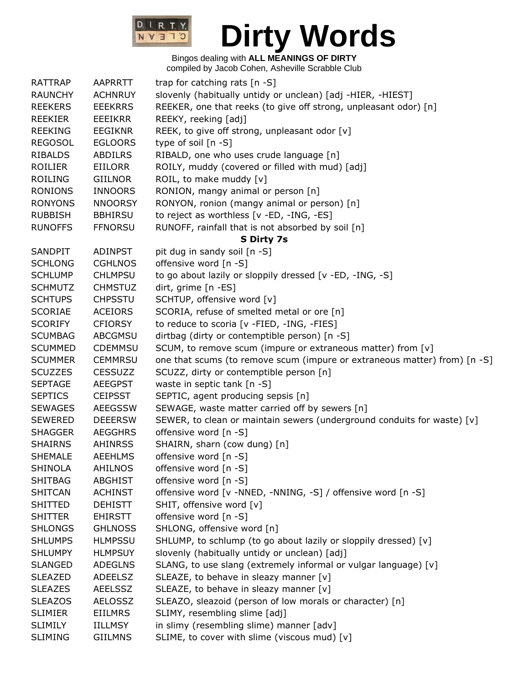

| <b>RATTRAP</b> | <b>AAPRRTT</b> | trap for catching rats [n -S]                                             |
|----------------|----------------|---------------------------------------------------------------------------|
| <b>RAUNCHY</b> | <b>ACHNRUY</b> | slovenly (habitually untidy or unclean) [adj -HIER, -HIEST]               |
| <b>REEKERS</b> | <b>EEEKRRS</b> | REEKER, one that reeks (to give off strong, unpleasant odor) [n]          |
| <b>REEKIER</b> | EEEIKRR        | REEKY, reeking [adj]                                                      |
| <b>REEKING</b> | <b>EEGIKNR</b> | REEK, to give off strong, unpleasant odor [v]                             |
| <b>REGOSOL</b> | <b>EGLOORS</b> | type of soil [n -S]                                                       |
| <b>RIBALDS</b> | ABDILRS        | RIBALD, one who uses crude language [n]                                   |
| ROILIER        | EIILORR        | ROILY, muddy (covered or filled with mud) [adj]                           |
| <b>ROILING</b> | <b>GIILNOR</b> | ROIL, to make muddy [v]                                                   |
| <b>RONIONS</b> | <b>INNOORS</b> | RONION, mangy animal or person [n]                                        |
| <b>RONYONS</b> | <b>NNOORSY</b> | RONYON, ronion (mangy animal or person) [n]                               |
| <b>RUBBISH</b> | <b>BBHIRSU</b> | to reject as worthless [v -ED, -ING, -ES]                                 |
| <b>RUNOFFS</b> | <b>FFNORSU</b> | RUNOFF, rainfall that is not absorbed by soil [n]                         |
|                |                | S Dirty 7s                                                                |
| <b>SANDPIT</b> | <b>ADINPST</b> | pit dug in sandy soil [n -S]                                              |
| <b>SCHLONG</b> | <b>CGHLNOS</b> | offensive word [n -S]                                                     |
| <b>SCHLUMP</b> | <b>CHLMPSU</b> | to go about lazily or sloppily dressed [v -ED, -ING, -S]                  |
| <b>SCHMUTZ</b> | <b>CHMSTUZ</b> | dirt, grime [n -ES]                                                       |
| <b>SCHTUPS</b> | <b>CHPSSTU</b> | SCHTUP, offensive word [v]                                                |
| <b>SCORIAE</b> | <b>ACEIORS</b> | SCORIA, refuse of smelted metal or ore [n]                                |
| <b>SCORIFY</b> | <b>CFIORSY</b> | to reduce to scoria [v -FIED, -ING, -FIES]                                |
| <b>SCUMBAG</b> | <b>ABCGMSU</b> | dirtbag (dirty or contemptible person) [n -S]                             |
| <b>SCUMMED</b> | <b>CDEMMSU</b> | SCUM, to remove scum (impure or extraneous matter) from [v]               |
| <b>SCUMMER</b> | <b>CEMMRSU</b> | one that scums (to remove scum (impure or extraneous matter) from) [n -S] |
| <b>SCUZZES</b> | <b>CESSUZZ</b> | SCUZZ, dirty or contemptible person [n]                                   |
| <b>SEPTAGE</b> | <b>AEEGPST</b> | waste in septic tank [n -S]                                               |
| <b>SEPTICS</b> | <b>CEIPSST</b> | SEPTIC, agent producing sepsis [n]                                        |
| <b>SEWAGES</b> | <b>AEEGSSW</b> | SEWAGE, waste matter carried off by sewers [n]                            |
| <b>SEWERED</b> | <b>DEEERSW</b> | SEWER, to clean or maintain sewers (underground conduits for waste) [v]   |
| <b>SHAGGER</b> | <b>AEGGHRS</b> | offensive word [n -S]                                                     |
| <b>SHAIRNS</b> | <b>AHINRSS</b> | SHAIRN, sharn (cow dung) [n]                                              |
| <b>SHEMALE</b> | <b>AEEHLMS</b> | offensive word [n -S]                                                     |
| <b>SHINOLA</b> | <b>AHILNOS</b> | offensive word [n -S]                                                     |
| <b>SHITBAG</b> | ABGHIST        | offensive word [n -S]                                                     |
| <b>SHITCAN</b> | <b>ACHINST</b> | offensive word [v -NNED, -NNING, -S] / offensive word [n -S]              |
| <b>SHITTED</b> | <b>DEHISTT</b> | SHIT, offensive word [v]                                                  |
| <b>SHITTER</b> | <b>EHIRSTT</b> | offensive word [n -S]                                                     |
| <b>SHLONGS</b> | <b>GHLNOSS</b> | SHLONG, offensive word [n]                                                |
| <b>SHLUMPS</b> | <b>HLMPSSU</b> | SHLUMP, to schlump (to go about lazily or sloppily dressed) [v]           |
| <b>SHLUMPY</b> | <b>HLMPSUY</b> | slovenly (habitually untidy or unclean) [adj]                             |
| <b>SLANGED</b> | <b>ADEGLNS</b> | SLANG, to use slang (extremely informal or vulgar language) [v]           |
| <b>SLEAZED</b> | ADEELSZ        | SLEAZE, to behave in sleazy manner [v]                                    |
| <b>SLEAZES</b> | <b>AEELSSZ</b> | SLEAZE, to behave in sleazy manner [v]                                    |
| <b>SLEAZOS</b> | <b>AELOSSZ</b> | SLEAZO, sleazoid (person of low morals or character) [n]                  |
| <b>SLIMIER</b> | <b>EIILMRS</b> | SLIMY, resembling slime [adj]                                             |
| <b>SLIMILY</b> | <b>IILLMSY</b> | in slimy (resembling slime) manner [adv]                                  |
| <b>SLIMING</b> | <b>GIILMNS</b> | SLIME, to cover with slime (viscous mud) [v]                              |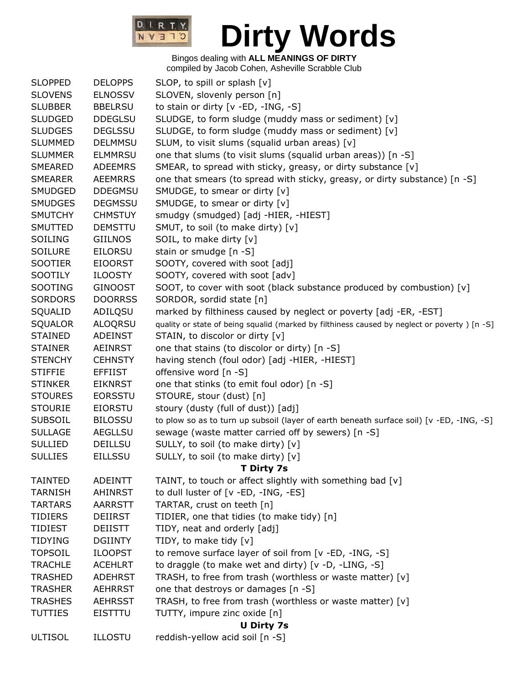

| <b>SLOPPED</b>    | <b>DELOPPS</b> | SLOP, to spill or splash [v]                                                                 |
|-------------------|----------------|----------------------------------------------------------------------------------------------|
| <b>SLOVENS</b>    | <b>ELNOSSV</b> | SLOVEN, slovenly person [n]                                                                  |
| <b>SLUBBER</b>    | <b>BBELRSU</b> | to stain or dirty [v -ED, -ING, -S]                                                          |
| <b>SLUDGED</b>    | <b>DDEGLSU</b> | SLUDGE, to form sludge (muddy mass or sediment) [v]                                          |
| <b>SLUDGES</b>    | <b>DEGLSSU</b> | SLUDGE, to form sludge (muddy mass or sediment) [v]                                          |
| <b>SLUMMED</b>    | <b>DELMMSU</b> | SLUM, to visit slums (squalid urban areas) [v]                                               |
| <b>SLUMMER</b>    | <b>ELMMRSU</b> | one that slums (to visit slums (squalid urban areas)) [n -S]                                 |
| SMEARED           | <b>ADEEMRS</b> | SMEAR, to spread with sticky, greasy, or dirty substance [v]                                 |
| <b>SMEARER</b>    | <b>AEEMRRS</b> | one that smears (to spread with sticky, greasy, or dirty substance) [n -S]                   |
| SMUDGED           | <b>DDEGMSU</b> | SMUDGE, to smear or dirty [v]                                                                |
| <b>SMUDGES</b>    | <b>DEGMSSU</b> | SMUDGE, to smear or dirty [v]                                                                |
| <b>SMUTCHY</b>    | <b>CHMSTUY</b> | smudgy (smudged) [adj -HIER, -HIEST]                                                         |
| SMUTTED           | <b>DEMSTTU</b> | SMUT, to soil (to make dirty) [v]                                                            |
| SOILING           | <b>GIILNOS</b> | SOIL, to make dirty [v]                                                                      |
| <b>SOILURE</b>    | <b>EILORSU</b> | stain or smudge [n -S]                                                                       |
| <b>SOOTIER</b>    | <b>EIOORST</b> | SOOTY, covered with soot [adj]                                                               |
| SOOTILY           | <b>ILOOSTY</b> | SOOTY, covered with soot [adv]                                                               |
| SOOTING           | <b>GINOOST</b> | SOOT, to cover with soot (black substance produced by combustion) [v]                        |
| <b>SORDORS</b>    | <b>DOORRSS</b> | SORDOR, sordid state [n]                                                                     |
| SQUALID           | ADILQSU        | marked by filthiness caused by neglect or poverty [adj -ER, -EST]                            |
| <b>SQUALOR</b>    | <b>ALOQRSU</b> | quality or state of being squalid (marked by filthiness caused by neglect or poverty) [n -S] |
| <b>STAINED</b>    | ADEINST        | STAIN, to discolor or dirty [v]                                                              |
| <b>STAINER</b>    | <b>AEINRST</b> | one that stains (to discolor or dirty) [n -S]                                                |
| <b>STENCHY</b>    | <b>CEHNSTY</b> | having stench (foul odor) [adj -HIER, -HIEST]                                                |
| <b>STIFFIE</b>    | <b>EFFIIST</b> | offensive word [n -S]                                                                        |
| <b>STINKER</b>    | <b>EIKNRST</b> | one that stinks (to emit foul odor) [n -S]                                                   |
| <b>STOURES</b>    | <b>EORSSTU</b> | STOURE, stour (dust) [n]                                                                     |
| <b>STOURIE</b>    | <b>EIORSTU</b> | stoury (dusty (full of dust)) [adj]                                                          |
| <b>SUBSOIL</b>    | <b>BILOSSU</b> | to plow so as to turn up subsoil (layer of earth beneath surface soil) [v -ED, -ING, -S]     |
| <b>SULLAGE</b>    | <b>AEGLLSU</b> | sewage (waste matter carried off by sewers) [n -S]                                           |
| <b>SULLIED</b>    | <b>DEILLSU</b> | SULLY, to soil (to make dirty) [v]                                                           |
| <b>SULLIES</b>    | <b>EILLSSU</b> | SULLY, to soil (to make dirty) [v]                                                           |
|                   |                | T Dirty 7s                                                                                   |
| <b>TAINTED</b>    | <b>ADEINTT</b> | TAINT, to touch or affect slightly with something bad [v]                                    |
| <b>TARNISH</b>    | <b>AHINRST</b> | to dull luster of [v -ED, -ING, -ES]                                                         |
| <b>TARTARS</b>    | <b>AARRSTT</b> | TARTAR, crust on teeth [n]                                                                   |
| <b>TIDIERS</b>    | <b>DEIIRST</b> | TIDIER, one that tidies (to make tidy) [n]                                                   |
| <b>TIDIEST</b>    | <b>DEIISTT</b> | TIDY, neat and orderly [adj]                                                                 |
| <b>TIDYING</b>    | <b>DGIINTY</b> | TIDY, to make tidy [v]                                                                       |
| <b>TOPSOIL</b>    | <b>ILOOPST</b> | to remove surface layer of soil from [v -ED, -ING, -S]                                       |
| <b>TRACHLE</b>    | <b>ACEHLRT</b> | to draggle (to make wet and dirty) [v -D, -LING, -S]                                         |
| <b>TRASHED</b>    | <b>ADEHRST</b> | TRASH, to free from trash (worthless or waste matter) [v]                                    |
| <b>TRASHER</b>    | <b>AEHRRST</b> | one that destroys or damages [n -S]                                                          |
| <b>TRASHES</b>    | <b>AEHRSST</b> | TRASH, to free from trash (worthless or waste matter) [v]                                    |
| <b>TUTTIES</b>    | <b>EISTTTU</b> | TUTTY, impure zinc oxide [n]                                                                 |
| <b>U Dirty 7s</b> |                |                                                                                              |
| <b>ULTISOL</b>    | <b>ILLOSTU</b> | reddish-yellow acid soil [n -S]                                                              |